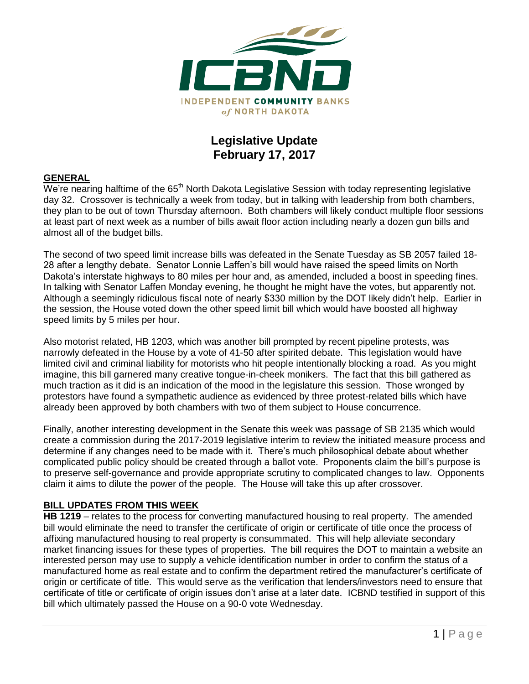

## **Legislative Update February 17, 2017**

#### **GENERAL**

 $\overline{W}$ e're nearing halftime of the 65<sup>th</sup> North Dakota Legislative Session with today representing legislative day 32. Crossover is technically a week from today, but in talking with leadership from both chambers, they plan to be out of town Thursday afternoon. Both chambers will likely conduct multiple floor sessions at least part of next week as a number of bills await floor action including nearly a dozen gun bills and almost all of the budget bills.

The second of two speed limit increase bills was defeated in the Senate Tuesday as SB 2057 failed 18- 28 after a lengthy debate. Senator Lonnie Laffen's bill would have raised the speed limits on North Dakota's interstate highways to 80 miles per hour and, as amended, included a boost in speeding fines. In talking with Senator Laffen Monday evening, he thought he might have the votes, but apparently not. Although a seemingly ridiculous fiscal note of nearly \$330 million by the DOT likely didn't help. Earlier in the session, the House voted down the other speed limit bill which would have boosted all highway speed limits by 5 miles per hour.

Also motorist related, HB 1203, which was another bill prompted by recent pipeline protests, was narrowly defeated in the House by a vote of 41-50 after spirited debate. This legislation would have limited civil and criminal liability for motorists who hit people intentionally blocking a road. As you might imagine, this bill garnered many creative tongue-in-cheek monikers. The fact that this bill gathered as much traction as it did is an indication of the mood in the legislature this session. Those wronged by protestors have found a sympathetic audience as evidenced by three protest-related bills which have already been approved by both chambers with two of them subject to House concurrence.

Finally, another interesting development in the Senate this week was passage of SB 2135 which would create a commission during the 2017-2019 legislative interim to review the initiated measure process and determine if any changes need to be made with it. There's much philosophical debate about whether complicated public policy should be created through a ballot vote. Proponents claim the bill's purpose is to preserve self-governance and provide appropriate scrutiny to complicated changes to law. Opponents claim it aims to dilute the power of the people. The House will take this up after crossover.

#### **BILL UPDATES FROM THIS WEEK**

**HB 1219** – relates to the process for converting manufactured housing to real property. The amended bill would eliminate the need to transfer the certificate of origin or certificate of title once the process of affixing manufactured housing to real property is consummated. This will help alleviate secondary market financing issues for these types of properties. The bill requires the DOT to maintain a website an interested person may use to supply a vehicle identification number in order to confirm the status of a manufactured home as real estate and to confirm the department retired the manufacturer's certificate of origin or certificate of title. This would serve as the verification that lenders/investors need to ensure that certificate of title or certificate of origin issues don't arise at a later date. ICBND testified in support of this bill which ultimately passed the House on a 90-0 vote Wednesday.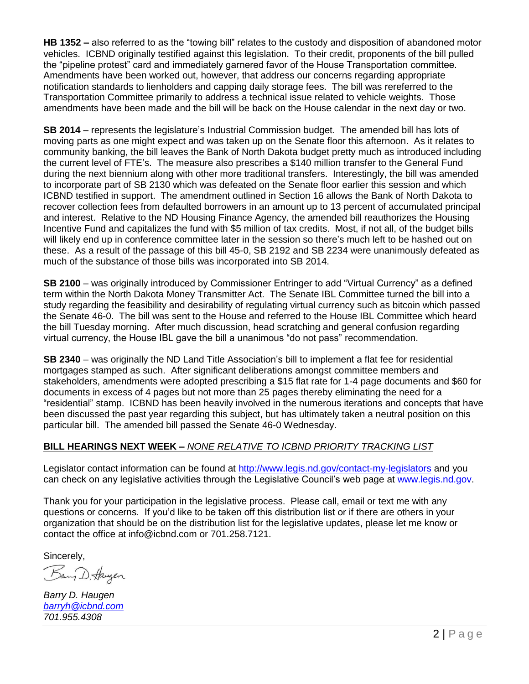**HB 1352 –** also referred to as the "towing bill" relates to the custody and disposition of abandoned motor vehicles. ICBND originally testified against this legislation. To their credit, proponents of the bill pulled the "pipeline protest" card and immediately garnered favor of the House Transportation committee. Amendments have been worked out, however, that address our concerns regarding appropriate notification standards to lienholders and capping daily storage fees. The bill was rereferred to the Transportation Committee primarily to address a technical issue related to vehicle weights. Those amendments have been made and the bill will be back on the House calendar in the next day or two.

**SB 2014** – represents the legislature's Industrial Commission budget. The amended bill has lots of moving parts as one might expect and was taken up on the Senate floor this afternoon. As it relates to community banking, the bill leaves the Bank of North Dakota budget pretty much as introduced including the current level of FTE's. The measure also prescribes a \$140 million transfer to the General Fund during the next biennium along with other more traditional transfers. Interestingly, the bill was amended to incorporate part of SB 2130 which was defeated on the Senate floor earlier this session and which ICBND testified in support. The amendment outlined in Section 16 allows the Bank of North Dakota to recover collection fees from defaulted borrowers in an amount up to 13 percent of accumulated principal and interest. Relative to the ND Housing Finance Agency, the amended bill reauthorizes the Housing Incentive Fund and capitalizes the fund with \$5 million of tax credits. Most, if not all, of the budget bills will likely end up in conference committee later in the session so there's much left to be hashed out on these. As a result of the passage of this bill 45-0, SB 2192 and SB 2234 were unanimously defeated as much of the substance of those bills was incorporated into SB 2014.

**SB 2100** – was originally introduced by Commissioner Entringer to add "Virtual Currency" as a defined term within the North Dakota Money Transmitter Act. The Senate IBL Committee turned the bill into a study regarding the feasibility and desirability of regulating virtual currency such as bitcoin which passed the Senate 46-0. The bill was sent to the House and referred to the House IBL Committee which heard the bill Tuesday morning. After much discussion, head scratching and general confusion regarding virtual currency, the House IBL gave the bill a unanimous "do not pass" recommendation.

**SB 2340** – was originally the ND Land Title Association's bill to implement a flat fee for residential mortgages stamped as such. After significant deliberations amongst committee members and stakeholders, amendments were adopted prescribing a \$15 flat rate for 1-4 page documents and \$60 for documents in excess of 4 pages but not more than 25 pages thereby eliminating the need for a "residential" stamp. ICBND has been heavily involved in the numerous iterations and concepts that have been discussed the past year regarding this subject, but has ultimately taken a neutral position on this particular bill. The amended bill passed the Senate 46-0 Wednesday.

### **BILL HEARINGS NEXT WEEK –** *NONE RELATIVE TO ICBND PRIORITY TRACKING LIST*

Legislator contact information can be found at<http://www.legis.nd.gov/contact-my-legislators> and you can check on any legislative activities through the Legislative Council's web page at [www.legis.nd.gov.](http://www.legis.nd.gov/)

Thank you for your participation in the legislative process. Please call, email or text me with any questions or concerns. If you'd like to be taken off this distribution list or if there are others in your organization that should be on the distribution list for the legislative updates, please let me know or contact the office at [info@icbnd.com](mailto:info@icbnd.com) or 701.258.7121.

Sincerely,

Bany D. Haugen

*Barry D. Haugen [barryh@icbnd.com](mailto:barryh@icbnd.com) 701.955.4308*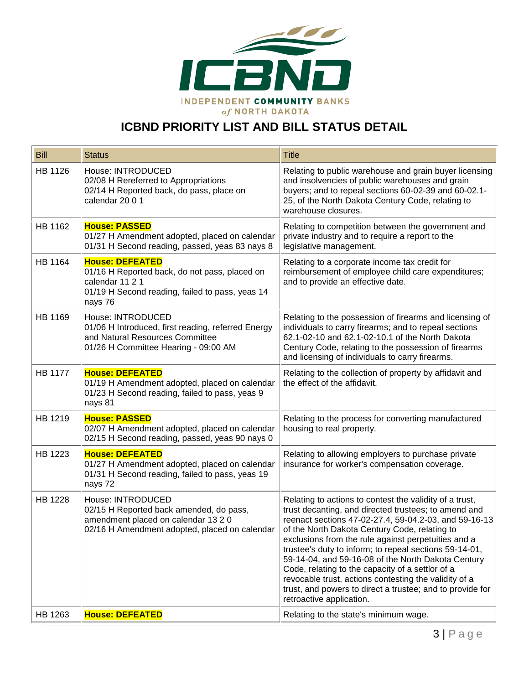

# **ICBND PRIORITY LIST AND BILL STATUS DETAIL**

| <b>Bill</b>    | <b>Status</b>                                                                                                                                            | <b>Title</b>                                                                                                                                                                                                                                                                                                                                                                                                                                                                                                                                                                                           |
|----------------|----------------------------------------------------------------------------------------------------------------------------------------------------------|--------------------------------------------------------------------------------------------------------------------------------------------------------------------------------------------------------------------------------------------------------------------------------------------------------------------------------------------------------------------------------------------------------------------------------------------------------------------------------------------------------------------------------------------------------------------------------------------------------|
| HB 1126        | House: INTRODUCED<br>02/08 H Rereferred to Appropriations<br>02/14 H Reported back, do pass, place on<br>calendar 2001                                   | Relating to public warehouse and grain buyer licensing<br>and insolvencies of public warehouses and grain<br>buyers; and to repeal sections 60-02-39 and 60-02.1-<br>25, of the North Dakota Century Code, relating to<br>warehouse closures.                                                                                                                                                                                                                                                                                                                                                          |
| HB 1162        | <b>House: PASSED</b><br>01/27 H Amendment adopted, placed on calendar<br>01/31 H Second reading, passed, yeas 83 nays 8                                  | Relating to competition between the government and<br>private industry and to require a report to the<br>legislative management.                                                                                                                                                                                                                                                                                                                                                                                                                                                                       |
| HB 1164        | <b>House: DEFEATED</b><br>01/16 H Reported back, do not pass, placed on<br>calendar 11 2 1<br>01/19 H Second reading, failed to pass, yeas 14<br>nays 76 | Relating to a corporate income tax credit for<br>reimbursement of employee child care expenditures;<br>and to provide an effective date.                                                                                                                                                                                                                                                                                                                                                                                                                                                               |
| HB 1169        | House: INTRODUCED<br>01/06 H Introduced, first reading, referred Energy<br>and Natural Resources Committee<br>01/26 H Committee Hearing - 09:00 AM       | Relating to the possession of firearms and licensing of<br>individuals to carry firearms; and to repeal sections<br>62.1-02-10 and 62.1-02-10.1 of the North Dakota<br>Century Code, relating to the possession of firearms<br>and licensing of individuals to carry firearms.                                                                                                                                                                                                                                                                                                                         |
| <b>HB 1177</b> | <b>House: DEFEATED</b><br>01/19 H Amendment adopted, placed on calendar<br>01/23 H Second reading, failed to pass, yeas 9<br>nays 81                     | Relating to the collection of property by affidavit and<br>the effect of the affidavit.                                                                                                                                                                                                                                                                                                                                                                                                                                                                                                                |
| HB 1219        | <b>House: PASSED</b><br>02/07 H Amendment adopted, placed on calendar<br>02/15 H Second reading, passed, yeas 90 nays 0                                  | Relating to the process for converting manufactured<br>housing to real property.                                                                                                                                                                                                                                                                                                                                                                                                                                                                                                                       |
| HB 1223        | <b>House: DEFEATED</b><br>01/27 H Amendment adopted, placed on calendar<br>01/31 H Second reading, failed to pass, yeas 19<br>nays 72                    | Relating to allowing employers to purchase private<br>insurance for worker's compensation coverage.                                                                                                                                                                                                                                                                                                                                                                                                                                                                                                    |
| <b>HB 1228</b> | House: INTRODUCED<br>02/15 H Reported back amended, do pass,<br>amendment placed on calendar 13 2 0<br>02/16 H Amendment adopted, placed on calendar     | Relating to actions to contest the validity of a trust,<br>trust decanting, and directed trustees; to amend and<br>reenact sections 47-02-27.4, 59-04.2-03, and 59-16-13<br>of the North Dakota Century Code, relating to<br>exclusions from the rule against perpetuities and a<br>trustee's duty to inform; to repeal sections 59-14-01,<br>59-14-04, and 59-16-08 of the North Dakota Century<br>Code, relating to the capacity of a settlor of a<br>revocable trust, actions contesting the validity of a<br>trust, and powers to direct a trustee; and to provide for<br>retroactive application. |
| HB 1263        | <b>House: DEFEATED</b>                                                                                                                                   | Relating to the state's minimum wage.                                                                                                                                                                                                                                                                                                                                                                                                                                                                                                                                                                  |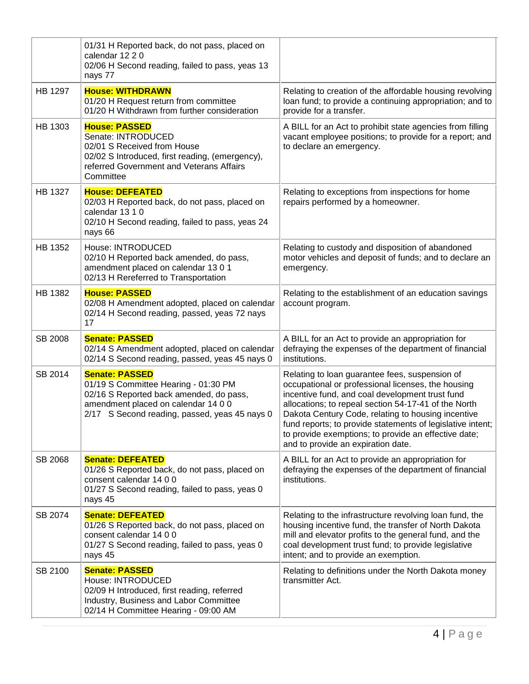|                | 01/31 H Reported back, do not pass, placed on<br>calendar 12 2 0<br>02/06 H Second reading, failed to pass, yeas 13<br>nays 77                                                                   |                                                                                                                                                                                                                                                                                                                                                                                                                                   |
|----------------|--------------------------------------------------------------------------------------------------------------------------------------------------------------------------------------------------|-----------------------------------------------------------------------------------------------------------------------------------------------------------------------------------------------------------------------------------------------------------------------------------------------------------------------------------------------------------------------------------------------------------------------------------|
| HB 1297        | <b>House: WITHDRAWN</b><br>01/20 H Request return from committee<br>01/20 H Withdrawn from further consideration                                                                                 | Relating to creation of the affordable housing revolving<br>loan fund; to provide a continuing appropriation; and to<br>provide for a transfer.                                                                                                                                                                                                                                                                                   |
| HB 1303        | <b>House: PASSED</b><br>Senate: INTRODUCED<br>02/01 S Received from House<br>02/02 S Introduced, first reading, (emergency),<br>referred Government and Veterans Affairs<br>Committee            | A BILL for an Act to prohibit state agencies from filling<br>vacant employee positions; to provide for a report; and<br>to declare an emergency.                                                                                                                                                                                                                                                                                  |
| HB 1327        | <b>House: DEFEATED</b><br>02/03 H Reported back, do not pass, placed on<br>calendar 13 1 0<br>02/10 H Second reading, failed to pass, yeas 24<br>nays 66                                         | Relating to exceptions from inspections for home<br>repairs performed by a homeowner.                                                                                                                                                                                                                                                                                                                                             |
| HB 1352        | House: INTRODUCED<br>02/10 H Reported back amended, do pass,<br>amendment placed on calendar 13 0 1<br>02/13 H Rereferred to Transportation                                                      | Relating to custody and disposition of abandoned<br>motor vehicles and deposit of funds; and to declare an<br>emergency.                                                                                                                                                                                                                                                                                                          |
| <b>HB 1382</b> | <b>House: PASSED</b><br>02/08 H Amendment adopted, placed on calendar<br>02/14 H Second reading, passed, yeas 72 nays<br>17                                                                      | Relating to the establishment of an education savings<br>account program.                                                                                                                                                                                                                                                                                                                                                         |
| SB 2008        | <b>Senate: PASSED</b><br>02/14 S Amendment adopted, placed on calendar<br>02/14 S Second reading, passed, yeas 45 nays 0                                                                         | A BILL for an Act to provide an appropriation for<br>defraying the expenses of the department of financial<br>institutions.                                                                                                                                                                                                                                                                                                       |
| SB 2014        | <b>Senate: PASSED</b><br>01/19 S Committee Hearing - 01:30 PM<br>02/16 S Reported back amended, do pass,<br>amendment placed on calendar 14 0 0<br>2/17 S Second reading, passed, yeas 45 nays 0 | Relating to loan guarantee fees, suspension of<br>occupational or professional licenses, the housing<br>incentive fund, and coal development trust fund<br>allocations; to repeal section 54-17-41 of the North<br>Dakota Century Code, relating to housing incentive<br>fund reports; to provide statements of legislative intent;<br>to provide exemptions; to provide an effective date;<br>and to provide an expiration date. |
| SB 2068        | <b>Senate: DEFEATED</b><br>01/26 S Reported back, do not pass, placed on<br>consent calendar 14 0 0<br>01/27 S Second reading, failed to pass, yeas 0<br>nays 45                                 | A BILL for an Act to provide an appropriation for<br>defraying the expenses of the department of financial<br>institutions.                                                                                                                                                                                                                                                                                                       |
| SB 2074        | <b>Senate: DEFEATED</b><br>01/26 S Reported back, do not pass, placed on<br>consent calendar 14 0 0<br>01/27 S Second reading, failed to pass, yeas 0<br>nays 45                                 | Relating to the infrastructure revolving loan fund, the<br>housing incentive fund, the transfer of North Dakota<br>mill and elevator profits to the general fund, and the<br>coal development trust fund; to provide legislative<br>intent; and to provide an exemption.                                                                                                                                                          |
| SB 2100        | <b>Senate: PASSED</b><br>House: INTRODUCED<br>02/09 H Introduced, first reading, referred<br>Industry, Business and Labor Committee<br>02/14 H Committee Hearing - 09:00 AM                      | Relating to definitions under the North Dakota money<br>transmitter Act.                                                                                                                                                                                                                                                                                                                                                          |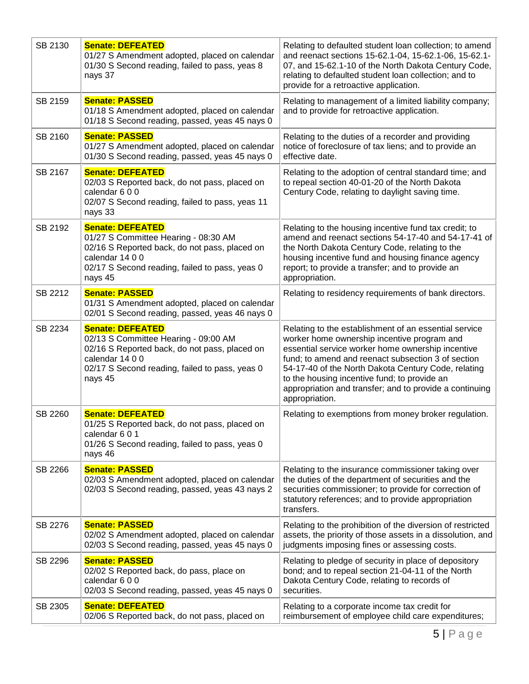| SB 2130 | <b>Senate: DEFEATED</b><br>01/27 S Amendment adopted, placed on calendar<br>01/30 S Second reading, failed to pass, yeas 8<br>nays 37                                                            | Relating to defaulted student loan collection; to amend<br>and reenact sections 15-62.1-04, 15-62.1-06, 15-62.1-<br>07, and 15-62.1-10 of the North Dakota Century Code,<br>relating to defaulted student loan collection; and to<br>provide for a retroactive application.                                                                                                                         |
|---------|--------------------------------------------------------------------------------------------------------------------------------------------------------------------------------------------------|-----------------------------------------------------------------------------------------------------------------------------------------------------------------------------------------------------------------------------------------------------------------------------------------------------------------------------------------------------------------------------------------------------|
| SB 2159 | <b>Senate: PASSED</b><br>01/18 S Amendment adopted, placed on calendar<br>01/18 S Second reading, passed, yeas 45 nays 0                                                                         | Relating to management of a limited liability company;<br>and to provide for retroactive application.                                                                                                                                                                                                                                                                                               |
| SB 2160 | <b>Senate: PASSED</b><br>01/27 S Amendment adopted, placed on calendar<br>01/30 S Second reading, passed, yeas 45 nays 0                                                                         | Relating to the duties of a recorder and providing<br>notice of foreclosure of tax liens; and to provide an<br>effective date.                                                                                                                                                                                                                                                                      |
| SB 2167 | <b>Senate: DEFEATED</b><br>02/03 S Reported back, do not pass, placed on<br>calendar 600<br>02/07 S Second reading, failed to pass, yeas 11<br>nays 33                                           | Relating to the adoption of central standard time; and<br>to repeal section 40-01-20 of the North Dakota<br>Century Code, relating to daylight saving time.                                                                                                                                                                                                                                         |
| SB 2192 | <b>Senate: DEFEATED</b><br>01/27 S Committee Hearing - 08:30 AM<br>02/16 S Reported back, do not pass, placed on<br>calendar 14 0 0<br>02/17 S Second reading, failed to pass, yeas 0<br>nays 45 | Relating to the housing incentive fund tax credit; to<br>amend and reenact sections 54-17-40 and 54-17-41 of<br>the North Dakota Century Code, relating to the<br>housing incentive fund and housing finance agency<br>report; to provide a transfer; and to provide an<br>appropriation.                                                                                                           |
| SB 2212 | <b>Senate: PASSED</b><br>01/31 S Amendment adopted, placed on calendar<br>02/01 S Second reading, passed, yeas 46 nays 0                                                                         | Relating to residency requirements of bank directors.                                                                                                                                                                                                                                                                                                                                               |
| SB 2234 | <b>Senate: DEFEATED</b><br>02/13 S Committee Hearing - 09:00 AM<br>02/16 S Reported back, do not pass, placed on<br>calendar 14 0 0<br>02/17 S Second reading, failed to pass, yeas 0<br>nays 45 | Relating to the establishment of an essential service<br>worker home ownership incentive program and<br>essential service worker home ownership incentive<br>fund; to amend and reenact subsection 3 of section<br>54-17-40 of the North Dakota Century Code, relating<br>to the housing incentive fund; to provide an<br>appropriation and transfer; and to provide a continuing<br>appropriation. |
| SB 2260 | <b>Senate: DEFEATED</b><br>01/25 S Reported back, do not pass, placed on<br>calendar 6 0 1<br>01/26 S Second reading, failed to pass, yeas 0<br>nays 46                                          | Relating to exemptions from money broker regulation.                                                                                                                                                                                                                                                                                                                                                |
| SB 2266 | <b>Senate: PASSED</b><br>02/03 S Amendment adopted, placed on calendar<br>02/03 S Second reading, passed, yeas 43 nays 2                                                                         | Relating to the insurance commissioner taking over<br>the duties of the department of securities and the<br>securities commissioner; to provide for correction of<br>statutory references; and to provide appropriation<br>transfers.                                                                                                                                                               |
| SB 2276 | <b>Senate: PASSED</b><br>02/02 S Amendment adopted, placed on calendar<br>02/03 S Second reading, passed, yeas 45 nays 0                                                                         | Relating to the prohibition of the diversion of restricted<br>assets, the priority of those assets in a dissolution, and<br>judgments imposing fines or assessing costs.                                                                                                                                                                                                                            |
| SB 2296 | <b>Senate: PASSED</b><br>02/02 S Reported back, do pass, place on<br>calendar 600<br>02/03 S Second reading, passed, yeas 45 nays 0                                                              | Relating to pledge of security in place of depository<br>bond; and to repeal section 21-04-11 of the North<br>Dakota Century Code, relating to records of<br>securities.                                                                                                                                                                                                                            |
| SB 2305 | <b>Senate: DEFEATED</b><br>02/06 S Reported back, do not pass, placed on                                                                                                                         | Relating to a corporate income tax credit for<br>reimbursement of employee child care expenditures;                                                                                                                                                                                                                                                                                                 |